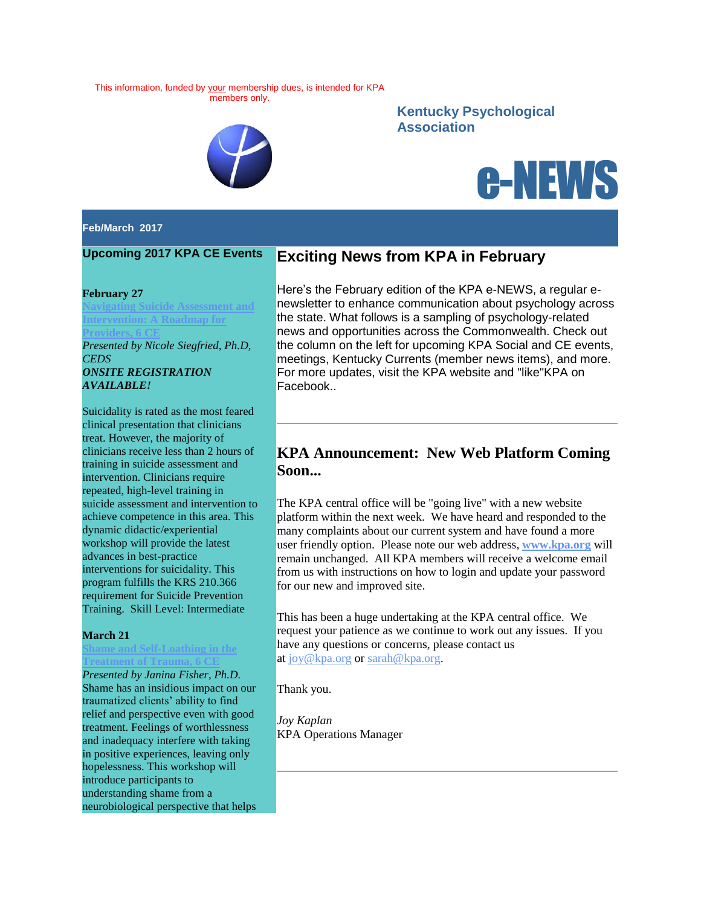This information, funded by your membership dues, is intended for KPA members only.



## **Kentucky Psychological Association**



#### **Feb/March 2017**

### **Upcoming 2017 KPA CE Events**

#### **February 27**

**[Navigating Suicide Assessment and](http://www.kpa.org/link.asp?e=joy@kpa.org&job=2831040&ymlink=96400093&finalurl=http%3A%2F%2Fwww%2Ekpa%2Eorg%2Fevents%2FEventDetails%2Easpx%3Fid%3D916442%26group%3D)  Intervention: A Roadmap for [Providers, 6 CE](http://www.kpa.org/link.asp?e=joy@kpa.org&job=2831040&ymlink=96400093&finalurl=http%3A%2F%2Fwww%2Ekpa%2Eorg%2Fevents%2FEventDetails%2Easpx%3Fid%3D916442%26group%3D)** *Presented by Nicole Siegfried, Ph.D, CEDS ONSITE REGISTRATION AVAILABLE!*

Suicidality is rated as the most feared clinical presentation that clinicians treat. However, the majority of clinicians receive less than 2 hours of training in suicide assessment and intervention. Clinicians require repeated, high-level training in suicide assessment and intervention to achieve competence in this area. This dynamic didactic/experiential workshop will provide the latest advances in best-practice interventions for suicidality. This program fulfills the KRS 210.366 requirement for Suicide Prevention Training. Skill Level: Intermediate

#### **March 21**

**[Shame and Self-Loathing in the](http://www.kpa.org/link.asp?e=joy@kpa.org&job=2831040&ymlink=96400093&finalurl=http%3A%2F%2Fwww%2Ekpa%2Eorg%2Fevents%2FEventDetails%2Easpx%3Fid%3D868134%26group%3D)  [Treatment of Trauma, 6 CE](http://www.kpa.org/link.asp?e=joy@kpa.org&job=2831040&ymlink=96400093&finalurl=http%3A%2F%2Fwww%2Ekpa%2Eorg%2Fevents%2FEventDetails%2Easpx%3Fid%3D868134%26group%3D)**

*Presented by Janina Fisher, Ph.D.* Shame has an insidious impact on our traumatized clients' ability to find relief and perspective even with good treatment. Feelings of worthlessness and inadequacy interfere with taking in positive experiences, leaving only hopelessness. This workshop will introduce participants to understanding shame from a neurobiological perspective that helps

### **Exciting News from KPA in February**

Here's the February edition of the KPA e-NEWS, a regular enewsletter to enhance communication about psychology across the state. What follows is a sampling of psychology-related news and opportunities across the Commonwealth. Check out the column on the left for upcoming KPA Social and CE events, meetings, Kentucky Currents (member news items), and more. For more updates, visit the KPA website and "like"KPA on Facebook..

## **KPA Announcement: New Web Platform Coming Soon...**

The KPA central office will be "going live" with a new website platform within the next week. We have heard and responded to the many complaints about our current system and have found a more user friendly option. Please note our web address, **[www.kpa.org](http://www.kpa.org/)** will remain unchanged. All KPA members will receive a welcome email from us with instructions on how to login and update your password for our new and improved site.

This has been a huge undertaking at the KPA central office. We request your patience as we continue to work out any issues. If you have any questions or concerns, please contact us at [joy@kpa.org](mailto:joy@kpa.org) or [sarah@kpa.org.](mailto:sarah@kpa.org)

Thank you.

*Joy Kaplan* KPA Operations Manager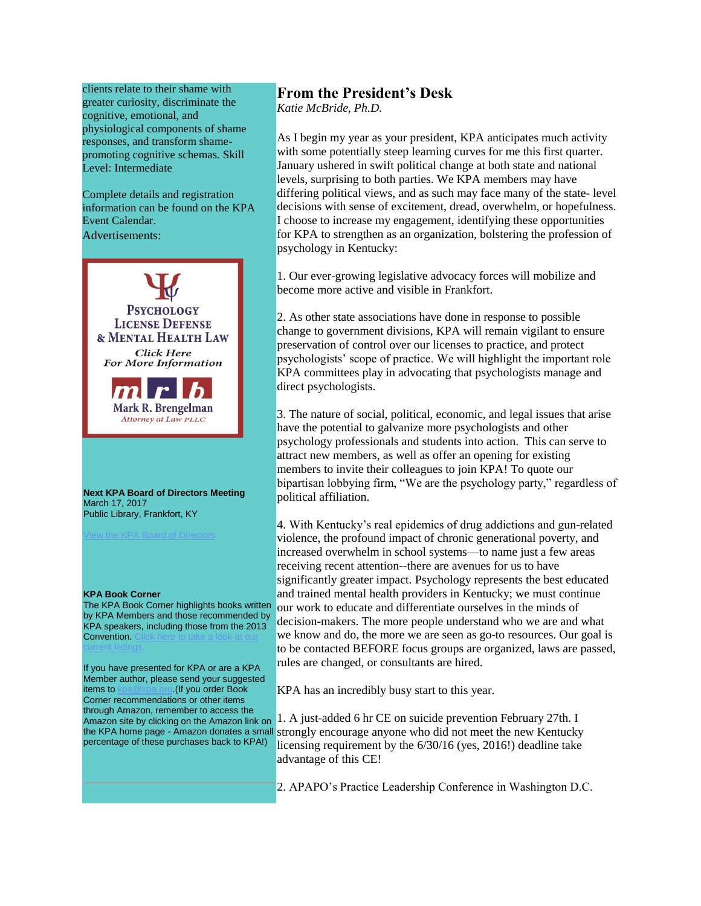clients relate to their shame with greater curiosity, discriminate the cognitive, emotional, and physiological components of shame responses, and transform shamepromoting cognitive schemas. Skill Level: Intermediate

Complete details and registration information can be found on the KPA Event Calendar. Advertisements:



**Next KPA Board of Directors Meeting** March 17, 2017

Mark R. Brengelman Attorney at Law PLLC

Public Library, Frankfort, KY

#### **KPA Book Corner**

The KPA Book Corner highlights books written by KPA Members and those recommended by KPA speakers, including those from the 2013 Convention.

If you have presented for KPA or are a KPA Member author, please send your suggested items to [kpa@kpa.org.](mailto:kpa@kpa.org)(If you order Book Corner recommendations or other items through Amazon, remember to access the Amazon site by clicking on the Amazon link on percentage of these purchases back to KPA!)

# **From the President's Desk**

*Katie McBride, Ph.D.*

As I begin my year as your president, KPA anticipates much activity with some potentially steep learning curves for me this first quarter. January ushered in swift political change at both state and national levels, surprising to both parties. We KPA members may have differing political views, and as such may face many of the state- level decisions with sense of excitement, dread, overwhelm, or hopefulness. I choose to increase my engagement, identifying these opportunities for KPA to strengthen as an organization, bolstering the profession of psychology in Kentucky:

1. Our ever-growing legislative advocacy forces will mobilize and become more active and visible in Frankfort.

2. As other state associations have done in response to possible change to government divisions, KPA will remain vigilant to ensure preservation of control over our licenses to practice, and protect psychologists' scope of practice. We will highlight the important role KPA committees play in advocating that psychologists manage and direct psychologists.

3. The nature of social, political, economic, and legal issues that arise have the potential to galvanize more psychologists and other psychology professionals and students into action. This can serve to attract new members, as well as offer an opening for existing members to invite their colleagues to join KPA! To quote our bipartisan lobbying firm, "We are the psychology party," regardless of political affiliation.

4. With Kentucky's real epidemics of drug addictions and gun-related violence, the profound impact of chronic generational poverty, and increased overwhelm in school systems—to name just a few areas receiving recent attention--there are avenues for us to have significantly greater impact. Psychology represents the best educated and trained mental health providers in Kentucky; we must continue our work to educate and differentiate ourselves in the minds of decision-makers. The more people understand who we are and what we know and do, the more we are seen as go-to resources. Our goal is to be contacted BEFORE focus groups are organized, laws are passed, rules are changed, or consultants are hired.

KPA has an incredibly busy start to this year.

the KPA home page - Amazon donates a small strongly encourage anyone who did not meet the new Kentucky 1. A just-added 6 hr CE on suicide prevention February 27th. I licensing requirement by the 6/30/16 (yes, 2016!) deadline take advantage of this CE!

2. APAPO's Practice Leadership Conference in Washington D.C.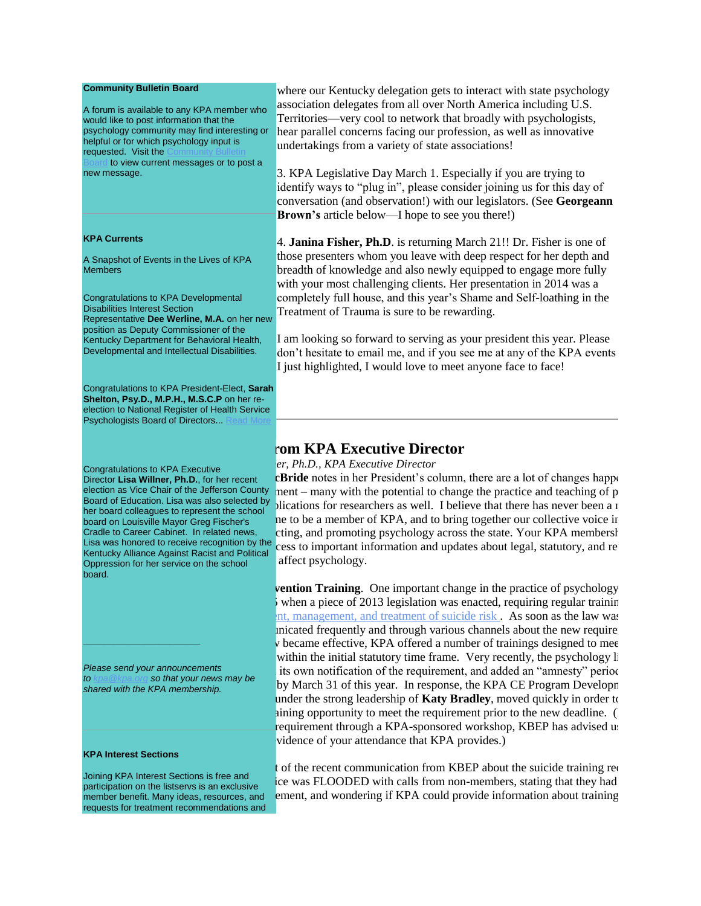#### **Community Bulletin Board**

A forum is available to any KPA member who would like to post information that the psychology community may find interesting or helpful or for which psychology input is requested. Visit the

to view current messages or to post a new message.

#### **KPA Currents**

A Snapshot of Events in the Lives of KPA Members

Congratulations to KPA Developmental Disabilities Interest Section Representative **Dee Werline, M.A.** on her new position as Deputy Commissioner of the Kentucky Department for Behavioral Health, Developmental and Intellectual Disabilities.

Congratulations to KPA President-Elect, **Sarah Shelton, Psy.D., M.P.H., M.S.C.P** on her reelection to National Register of Health Service Psychologists Board of Directors...

Congratulations to KPA Executive Director **Lisa Willner, Ph.D.**, for her recent election as Vice Chair of the Jefferson County Board of Education. Lisa was also selected by her board colleagues to represent the school board on Louisville Mayor Greg Fischer's Cradle to Career Cabinet. In related news, Lisa was honored to receive recognition by the Kentucky Alliance Against Racist and Political Oppression for her service on the school board.

*Please send your announcements to [kpa@kpa.org](mailto:kpa@kpa.org) so that your news may be shared with the KPA membership.* 

#### **KPA Interest Sections**

**\_\_\_\_\_\_\_\_\_\_\_\_\_\_\_\_\_\_\_\_\_\_\_**

Joining KPA Interest Sections is free and participation on the listservs is an exclusive member benefit. Many ideas, resources, and requests for treatment recommendations and

where our Kentucky delegation gets to interact with state psychology association delegates from all over North America including U.S. Territories—very cool to network that broadly with psychologists, hear parallel concerns facing our profession, as well as innovative undertakings from a variety of state associations!

3. KPA Legislative Day March 1. Especially if you are trying to identify ways to "plug in", please consider joining us for this day of conversation (and observation!) with our legislators. (See **Georgeann Brown's** article below—I hope to see you there!)

4. **Janina Fisher, Ph.D**. is returning March 21!! Dr. Fisher is one of those presenters whom you leave with deep respect for her depth and breadth of knowledge and also newly equipped to engage more fully with your most challenging clients. Her presentation in 2014 was a completely full house, and this year's Shame and Self-loathing in the Treatment of Trauma is sure to be rewarding.

I am looking so forward to serving as your president this year. Please don't hesitate to email me, and if you see me at any of the KPA events I just highlighted, I would love to meet anyone face to face!

# **rom KPA Executive Director**

*by Lisa Willner, Ph.D., KPA Executive Director*

**EBride** notes in her President's column, there are a lot of changes happening in nent – many with the potential to change the practice and teaching of  $p$ plications for researchers as well. I believe that there has never been a r ne to be a member of KPA, and to bring together our collective voice in cting, and promoting psychology across the state. Your KPA membership cess to important information and updates about legal, statutory, and regulatory affect psychology.

**Fullerige Prevention Training.** One important change in the practice of psychology when a piece of 2013 legislation was enacted, requiring regular training nt, management, and treatment of suicide risk. As soon as the law was inicated frequently and through various channels about the new require  $\bf{v}$  became effective, KPA offered a number of trainings designed to mee within the initial statutory time frame. Very recently, the psychology li its own notification of the requirement, and added an "amnesty" period by March 31 of this year. In response, the KPA CE Program Developm under the strong leadership of **Katy Bradley**, moved quickly in order to aining opportunity to meet the requirement prior to the new deadline. (For requirement through a KPA-sponsored workshop, KBEP has advised us vidence of your attendance that KPA provides.)

t of the recent communication from KBEP about the suicide training requirement, the keya set ELOODED with calls from non-members, stating that they had ement, and wondering if KPA could provide information about training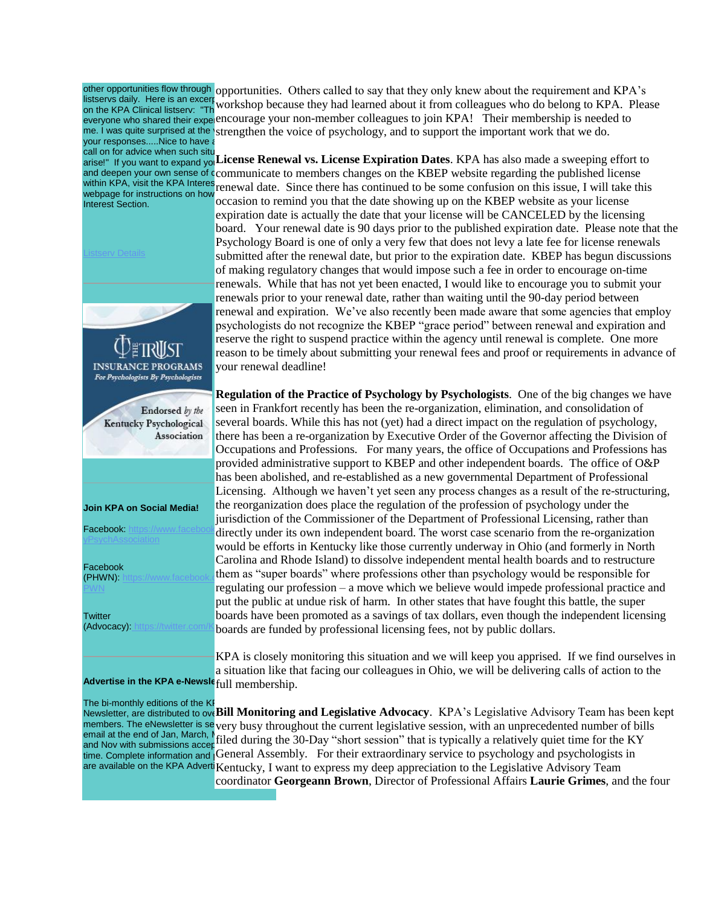listservs daily. Here is an excerption by your responses.....Nice to have call on for advice when such situ webpage for instructions on how Interest Section.



other opportunities flow through opportunities. Others called to say that they only knew about the requirement and KPA's IISTSERVS DAILY. Here IS an excert workshop because they had learned about it from colleagues who do belong to KPA. Please<br>on the KPA Clinical listserv: "The workshop because they had learned about it from colleagues who d everyone who shared their experencourage your non-member colleagues to join KPA! Their membership is needed to me. I was quite surprised at the strengthen the voice of psychology, and to support the important work that we do.

arise!" If you want to expand yo<sub>l</sub> License Renewal vs. License Expiration Dates. KPA has also made a sweeping effort to and deepen your own sense of communicate to members changes on the KBEP website regarding the published license within KPA, visit the KPA Interest renewal date. Since there has continued to be some confusion on this issue, I will take this occasion to remind you that the date showing up on the KBEP website as your license expiration date is actually the date that your license will be CANCELED by the licensing board. Your renewal date is 90 days prior to the published expiration date. Please note that the [Psychology B](http://www.kpa.org/link.asp?e=joy@kpa.org&job=2831040&ymlink=96400093&finalurl=https%3A%2F%2Fkpa%2Esite%2Dym%2Ecom%2F%3Fpage%3D2015KPAInterestSect)oard is one of only a very few that does not levy a late fee for license renewals submitted after the renewal date, but prior to the expiration date. KBEP has begun discussions of making regulatory changes that would impose such a fee in order to encourage on-time renewals. While that has not yet been enacted, I would like to encourage you to submit your renewals prior to your renewal date, rather than waiting until the 90-day period between renewal and expiration. We've also recently been made aware that some agencies that employ psychologists do not recognize the KBEP "grace period" between renewal and expiration and reserve the right to suspend practice within the agency until renewal is complete. One more reason to be timely about submitting your renewal fees and proof or requirements in advance of your renewal deadline!

Facebook: https://www.facebook.directly under its own independent board. The worst case scenario from the re-organization (PHWN): [https://www.facebook.com/Kentucky](http://www.kpa.org/link.asp?e=joy@kpa.org&job=2831040&ymlink=96400093&finalurl=https%3A%2F%2Fwww%2Efacebook%2Ecom%2FKentuckyPWN) them as "super boards" where professions other than psychology would be responsible for **Regulation of the Practice of Psychology by Psychologists**. One of the big changes we have seen in Frankfort recently has been the re-organization, elimination, and consolidation of several boards. While this has not (yet) had a direct impact on the regulation of psychology, there has been a re-organization by Executive Order of the Governor affecting the Division of Occupations and Professions. For many years, the office of Occupations and Professions has provided administrative support to KBEP and other independent boards. The office of O&P has been abolished, and re-established as a new governmental Department of Professional Licensing. Although we haven't yet seen any process changes as a result of the re-structuring, the reorganization does place the regulation of the profession of psychology under the jurisdiction of the Commissioner of the Department of Professional Licensing, rather than would be efforts in Kentucky like those currently underway in Ohio (and formerly in North Carolina and Rhode Island) to dissolve independent mental health boards and to restructure regulating our profession – a move which we believe would impede professional practice and put the public at undue risk of harm. In other states that have fought this battle, the super boards have been promoted as a savings of tax dollars, even though the independent licensing boards are funded by professional licensing fees, not by public dollars.

> KPA is closely monitoring this situation and we will keep you apprised. If we find ourselves in a situation like that facing our colleagues in Ohio, we will be delivering calls of action to the

The bi-monthly editions of the KP Newsletter, are distributed to ove **Bill Monitoring and Legislative Advocacy**. KPA's Legislative Advisory Team has been kept members. The eNewsletter is severy busy throughout the current legislative session, with an unprecedented number of bills email at the end of Jan, March,  $N_{\text{G1od}}$  Juning, email at the end of Jan, March,  $\frac{1}{n}$  filed during the 30-Day "short session" that is typically a relatively quiet time for the KY time. Complete information and General Assembly. For their extraordinary service to psychology and psychologists in are available on the KPA Adverti Kentucky, I want to express my deep appreciation to the Legislative Advisory Team coordinator **Georgeann Brown**, Director of Professional Affairs **Laurie Grimes**, and the four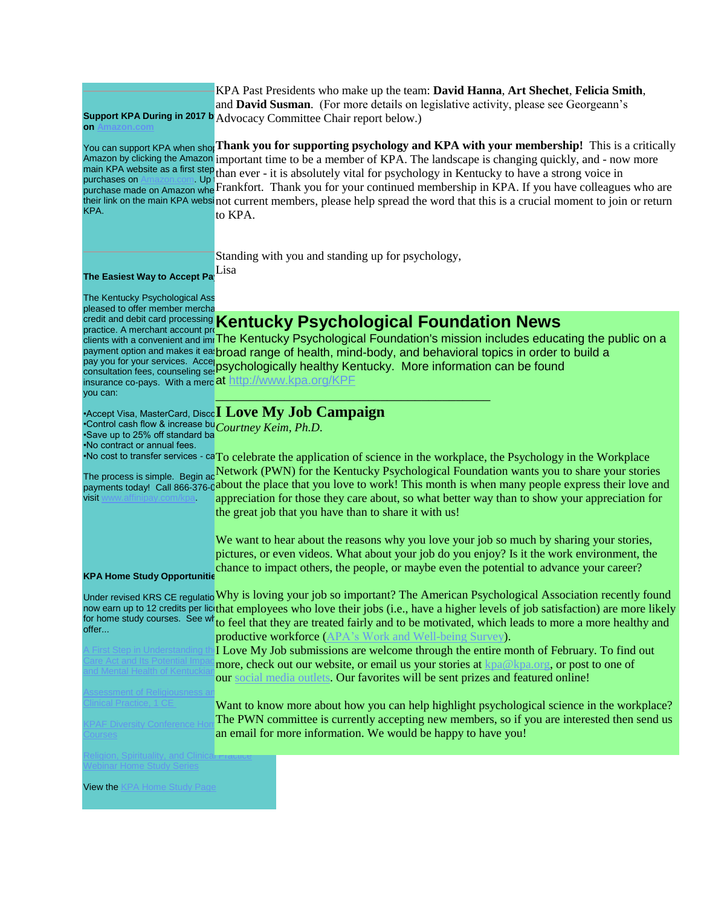| on Amazon.com                                                                                                          | KPA Past Presidents who make up the team: David Hanna, Art Shechet, Felicia Smith,<br>and David Susman. (For more details on legislative activity, please see Georgeann's<br>Support KPA During in 2017 b Advocacy Committee Chair report below.)                                                                                                                                                                                                                                                                                                                                                                                                                                                                                                     |
|------------------------------------------------------------------------------------------------------------------------|-------------------------------------------------------------------------------------------------------------------------------------------------------------------------------------------------------------------------------------------------------------------------------------------------------------------------------------------------------------------------------------------------------------------------------------------------------------------------------------------------------------------------------------------------------------------------------------------------------------------------------------------------------------------------------------------------------------------------------------------------------|
| purchases on<br>Up:<br>KPA.                                                                                            | You can support KPA when shot Thank you for supporting psychology and KPA with your membership! This is a critically<br>Amazon by clicking the Amazon important time to be a member of KPA. The landscape is changing quickly, and - now more<br>main KPA website as a first step than ever - it is absolutely vital for psychology in Kentucky to have a strong voice in<br>purchase made on Amazon whe Frankfort. Thank you for your continued membership in KPA. If you have colleagues who are<br>their link on the main KPA websinot current members, please help spread the word that this is a crucial moment to join or return<br>to KPA.                                                                                                     |
| The Easiest Way to Accept Pa                                                                                           | Standing with you and standing up for psychology,<br>Lisa                                                                                                                                                                                                                                                                                                                                                                                                                                                                                                                                                                                                                                                                                             |
| The Kentucky Psychological Ass                                                                                         |                                                                                                                                                                                                                                                                                                                                                                                                                                                                                                                                                                                                                                                                                                                                                       |
| pleased to offer member mercha<br>practice. A merchant account pro<br>you can:                                         | <b>Credit and debit card processing Kentucky Psychological Foundation News</b><br>clients with a convenient and imrThe Kentucky Psychological Foundation's mission includes educating the public on a<br>payment option and makes it ea broad range of health, mind-body, and behavioral topics in order to build a<br>pay you for your services. Accel psychologically healthy Kentucky. More information can be found<br>consultation fees, counseling set psychologically healthy Kentucky. More information can be found<br>insurance co-pays. With a mercat http://www.kpa.org/KPF                                                                                                                                                               |
|                                                                                                                        | $\cdot$ Accept Visa, MasterCard, Disco $\bf{I}$ Love My Job Campaign                                                                                                                                                                                                                                                                                                                                                                                                                                                                                                                                                                                                                                                                                  |
| Control cash flow & increase buCourtney Keim, Ph.D.<br>·Save up to 25% off standard ba<br>.No contract or annual fees. | ·No cost to transfer services - caTo celebrate the application of science in the workplace, the Psychology in the Workplace                                                                                                                                                                                                                                                                                                                                                                                                                                                                                                                                                                                                                           |
| <b>visit</b> www.affinipay.com/kpa                                                                                     | The process is simple. Begin ac Network (PWN) for the Kentucky Psychological Foundation wants you to share your stories<br>payments today! Call 866-376-0about the place that you love to work! This month is when many people express their love and<br>appreciation for those they care about, so what better way than to show your appreciation for<br>the great job that you have than to share it with us!                                                                                                                                                                                                                                                                                                                                       |
|                                                                                                                        | We want to hear about the reasons why you love your job so much by sharing your stories,<br>pictures, or even videos. What about your job do you enjoy? Is it the work environment, the<br>chance to impact others, the people, or maybe even the potential to advance your career?                                                                                                                                                                                                                                                                                                                                                                                                                                                                   |
| <b>KPA Home Study Opportunitie</b>                                                                                     |                                                                                                                                                                                                                                                                                                                                                                                                                                                                                                                                                                                                                                                                                                                                                       |
| offer<br>、First Step in Understanding:                                                                                 | Under revised KRS CE regulatio Why is loving your job so important? The American Psychological Association recently found<br>now earn up to 12 credits per licthat employees who love their jobs (i.e., have a higher levels of job satisfaction) are more likely<br>for home study courses. See wh <sub>to feel</sub> that they are treated fairly and to be motivated, which leads to more a more healthy and<br>productive workforce (APA's Work and Well-being Survey).<br>I Love My Job submissions are welcome through the entire month of February. To find out<br>more, check out our website, or email us your stories at kpa@kpa.org, or post to one of<br>our social media outlets. Our favorites will be sent prizes and featured online! |
| ssessment of Religiousness.<br>;imical Practice, 1 CE<br><b>PAF Diversity Conferend</b><br>ourses;                     | Want to know more about how you can help highlight psychological science in the workplace?<br>The PWN committee is currently accepting new members, so if you are interested then send us<br>an email for more information. We would be happy to have you!                                                                                                                                                                                                                                                                                                                                                                                                                                                                                            |
| Religion, Spirituality, and Clinicar नाacแ                                                                             |                                                                                                                                                                                                                                                                                                                                                                                                                                                                                                                                                                                                                                                                                                                                                       |
| <u>Vebinar Home Study Series</u>                                                                                       |                                                                                                                                                                                                                                                                                                                                                                                                                                                                                                                                                                                                                                                                                                                                                       |
| <b>View the KPA Home Study Page</b>                                                                                    |                                                                                                                                                                                                                                                                                                                                                                                                                                                                                                                                                                                                                                                                                                                                                       |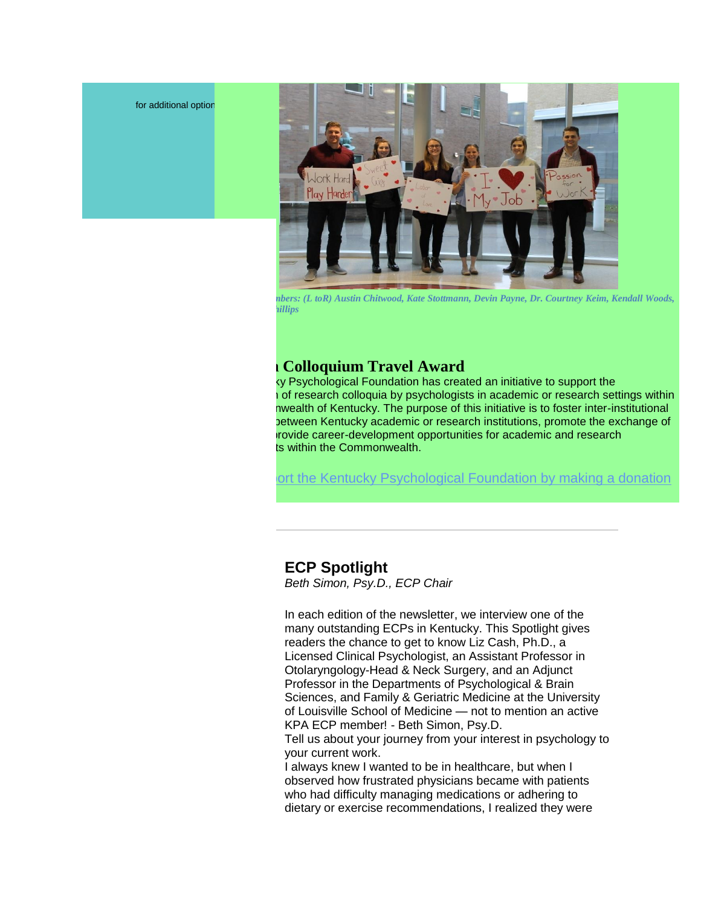for additional option



*Committee members: (L toR) Austin Chitwood, Kate Stottmann, Devin Payne, Dr. Courtney Keim, Kendall Woods, and Trenton Phillips*

## **Research Colloquium Travel Award**

ty Psychological Foundation has created an initiative to support the prof research colloquia by psychologists in academic or research settings within hwealth of Kentucky. The purpose of this initiative is to foster inter-institutional petween Kentucky academic or research institutions, promote the exchange of irovide career-development opportunities for academic and research ts within the Commonwealth[.](http://www.kpa.org/link.asp?e=dr.sean.reilley@gmail.com&job=1653790&e=joy@kpa.org&job=2831040&ymlink=3036053&finalurl=https%3A%2F%2Fkpa%2Esite%2Dym%2Ecom%2F%3F638)

ort the Kentucky Psychological Foundation by making a donation

# **ECP Spotlight**

*Beth Simon, Psy.D., ECP Chair*

In each edition of the newsletter, we interview one of the many outstanding ECPs in Kentucky. This Spotlight gives readers the chance to get to know Liz Cash, Ph.D., a Licensed Clinical Psychologist, an Assistant Professor in Otolaryngology-Head & Neck Surgery, and an Adjunct Professor in the Departments of Psychological & Brain Sciences, and Family & Geriatric Medicine at the University of Louisville School of Medicine — not to mention an active KPA ECP member! - Beth Simon, Psy.D.

Tell us about your journey from your interest in psychology to your current work.

I always knew I wanted to be in healthcare, but when I observed how frustrated physicians became with patients who had difficulty managing medications or adhering to dietary or exercise recommendations, I realized they were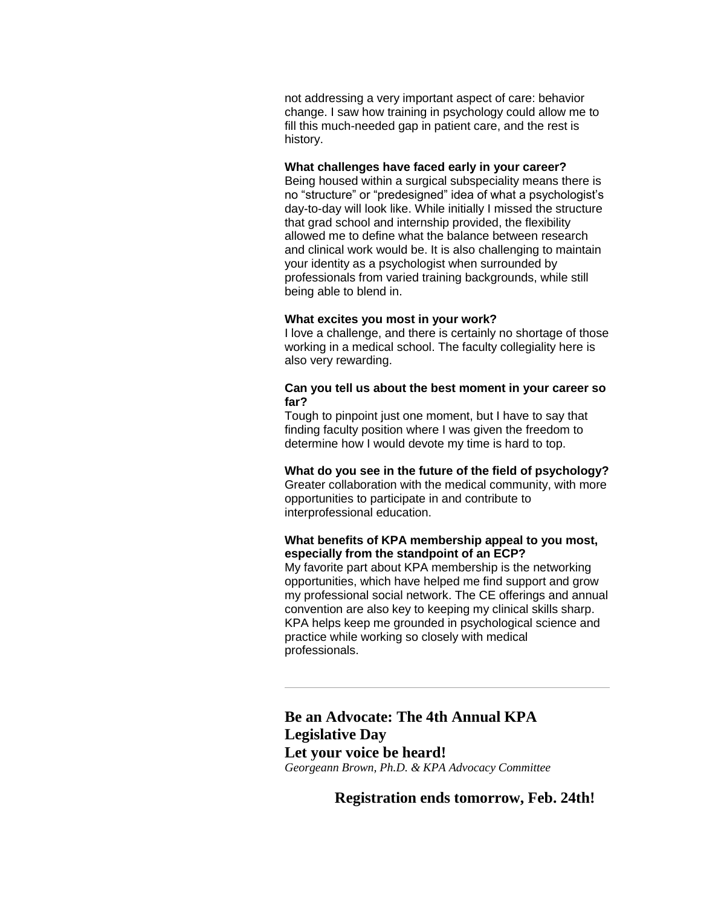not addressing a very important aspect of care: behavior change. I saw how training in psychology could allow me to fill this much-needed gap in patient care, and the rest is history.

#### **What challenges have faced early in your career?**

Being housed within a surgical subspeciality means there is no "structure" or "predesigned" idea of what a psychologist's day-to-day will look like. While initially I missed the structure that grad school and internship provided, the flexibility allowed me to define what the balance between research and clinical work would be. It is also challenging to maintain your identity as a psychologist when surrounded by professionals from varied training backgrounds, while still being able to blend in.

#### **What excites you most in your work?**

I love a challenge, and there is certainly no shortage of those working in a medical school. The faculty collegiality here is also very rewarding.

### **Can you tell us about the best moment in your career so far?**

Tough to pinpoint just one moment, but I have to say that finding faculty position where I was given the freedom to determine how I would devote my time is hard to top.

#### **What do you see in the future of the field of psychology?** Greater collaboration with the medical community, with more opportunities to participate in and contribute to interprofessional education.

### **What benefits of KPA membership appeal to you most, especially from the standpoint of an ECP?**

My favorite part about KPA membership is the networking opportunities, which have helped me find support and grow my professional social network. The CE offerings and annual convention are also key to keeping my clinical skills sharp. KPA helps keep me grounded in psychological science and practice while working so closely with medical professionals.

# **Be an Advocate: The 4th Annual KPA Legislative Day Let your voice be heard!**

*Georgeann Brown, Ph.D. & KPA Advocacy Committee*

**Registration ends tomorrow, Feb. 24th!**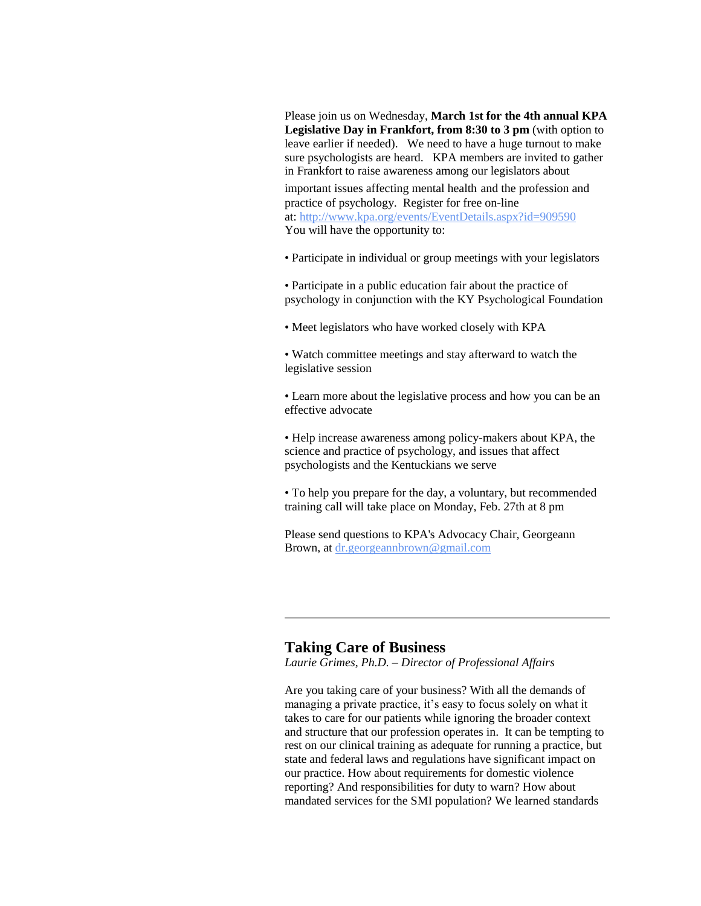Please join us on Wednesday, **March 1st for the 4th annual KPA Legislative Day in Frankfort, from 8:30 to 3 pm** (with option to leave earlier if needed). We need to have a huge turnout to make sure psychologists are heard. KPA members are invited to gather in Frankfort to raise awareness among our legislators about

important issues affecting mental health and the profession and practice of psychology. Register for free on-line at: [http://www.kpa.org/events/EventDetails.aspx?id=909590](http://www.kpa.org/link.asp?e=joy@kpa.org&job=2831040&ymlink=96400093&finalurl=http%3A%2F%2Fwww%2Ekpa%2Eorg%2Fevents%2FEventDetails%2Easpx%3Fid%3D909590) You will have the opportunity to:

- Participate in individual or group meetings with your legislators
- Participate in a public education fair about the practice of psychology in conjunction with the KY Psychological Foundation
- Meet legislators who have worked closely with KPA
- Watch committee meetings and stay afterward to watch the legislative session
- Learn more about the legislative process and how you can be an effective advocate
- Help increase awareness among policy-makers about KPA, the science and practice of psychology, and issues that affect psychologists and the Kentuckians we serve
- To help you prepare for the day, a voluntary, but recommended training call will take place on Monday, Feb. 27th at 8 pm

Please send questions to KPA's Advocacy Chair, Georgeann Brown, at [dr.georgeannbrown@gmail.com](mailto:dr.georgeannbrown@gmail.com)

### **Taking Care of Business**

*Laurie Grimes, Ph.D. – Director of Professional Affairs*

Are you taking care of your business? With all the demands of managing a private practice, it's easy to focus solely on what it takes to care for our patients while ignoring the broader context and structure that our profession operates in. It can be tempting to rest on our clinical training as adequate for running a practice, but state and federal laws and regulations have significant impact on our practice. How about requirements for domestic violence reporting? And responsibilities for duty to warn? How about mandated services for the SMI population? We learned standards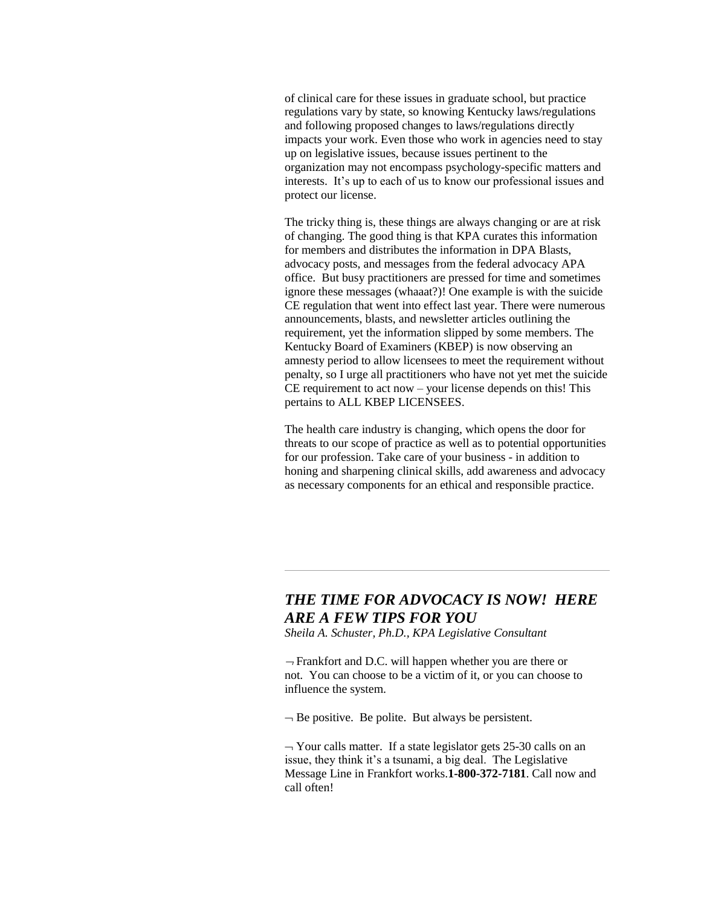of clinical care for these issues in graduate school, but practice regulations vary by state, so knowing Kentucky laws/regulations and following proposed changes to laws/regulations directly impacts your work. Even those who work in agencies need to stay up on legislative issues, because issues pertinent to the organization may not encompass psychology-specific matters and interests. It's up to each of us to know our professional issues and protect our license.

The tricky thing is, these things are always changing or are at risk of changing. The good thing is that KPA curates this information for members and distributes the information in DPA Blasts, advocacy posts, and messages from the federal advocacy APA office. But busy practitioners are pressed for time and sometimes ignore these messages (whaaat?)! One example is with the suicide CE regulation that went into effect last year. There were numerous announcements, blasts, and newsletter articles outlining the requirement, yet the information slipped by some members. The Kentucky Board of Examiners (KBEP) is now observing an amnesty period to allow licensees to meet the requirement without penalty, so I urge all practitioners who have not yet met the suicide CE requirement to act now – your license depends on this! This pertains to ALL KBEP LICENSEES.

The health care industry is changing, which opens the door for threats to our scope of practice as well as to potential opportunities for our profession. Take care of your business - in addition to honing and sharpening clinical skills, add awareness and advocacy as necessary components for an ethical and responsible practice.

# *THE TIME FOR ADVOCACY IS NOW! HERE ARE A FEW TIPS FOR YOU*

*Sheila A. Schuster, Ph.D., KPA Legislative Consultant*

 $\rightarrow$  Frankfort and D.C. will happen whether you are there or not. You can choose to be a victim of it, or you can choose to influence the system.

 $\overline{\phantom{a}}$  Be positive. Be polite. But always be persistent.

 $\rightarrow$  Your calls matter. If a state legislator gets 25-30 calls on an issue, they think it's a tsunami, a big deal. The Legislative Message Line in Frankfort works.**1-800-372-7181**. Call now and call often!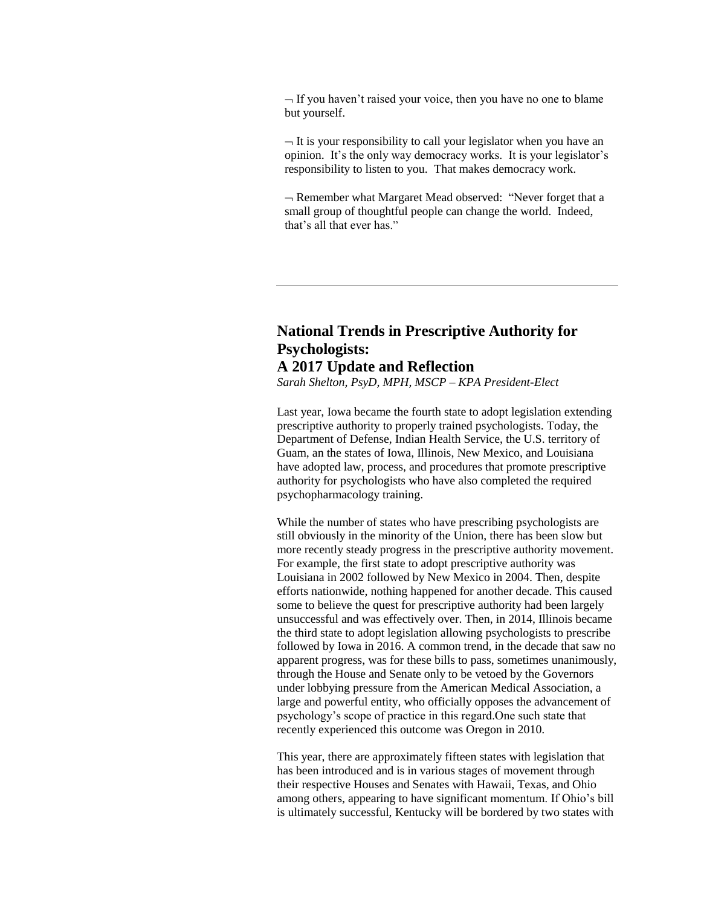$-I$  If you haven't raised your voice, then you have no one to blame but yourself.

 $-I$  is your responsibility to call your legislator when you have an opinion. It's the only way democracy works. It is your legislator's responsibility to listen to you. That makes democracy work.

 $\neg$  Remember what Margaret Mead observed: "Never forget that a small group of thoughtful people can change the world. Indeed, that's all that ever has."

## **National Trends in Prescriptive Authority for Psychologists: A 2017 Update and Reflection**

*Sarah Shelton, PsyD, MPH, MSCP – KPA President-Elect*

Last year, Iowa became the fourth state to adopt legislation extending prescriptive authority to properly trained psychologists. Today, the Department of Defense, Indian Health Service, the U.S. territory of Guam, an the states of Iowa, Illinois, New Mexico, and Louisiana have adopted law, process, and procedures that promote prescriptive authority for psychologists who have also completed the required psychopharmacology training.

While the number of states who have prescribing psychologists are still obviously in the minority of the Union, there has been slow but more recently steady progress in the prescriptive authority movement. For example, the first state to adopt prescriptive authority was Louisiana in 2002 followed by New Mexico in 2004. Then, despite efforts nationwide, nothing happened for another decade. This caused some to believe the quest for prescriptive authority had been largely unsuccessful and was effectively over. Then, in 2014, Illinois became the third state to adopt legislation allowing psychologists to prescribe followed by Iowa in 2016. A common trend, in the decade that saw no apparent progress, was for these bills to pass, sometimes unanimously, through the House and Senate only to be vetoed by the Governors under lobbying pressure from the American Medical Association, a large and powerful entity, who officially opposes the advancement of psychology's scope of practice in this regard.One such state that recently experienced this outcome was Oregon in 2010.

This year, there are approximately fifteen states with legislation that has been introduced and is in various stages of movement through their respective Houses and Senates with Hawaii, Texas, and Ohio among others, appearing to have significant momentum. If Ohio's bill is ultimately successful, Kentucky will be bordered by two states with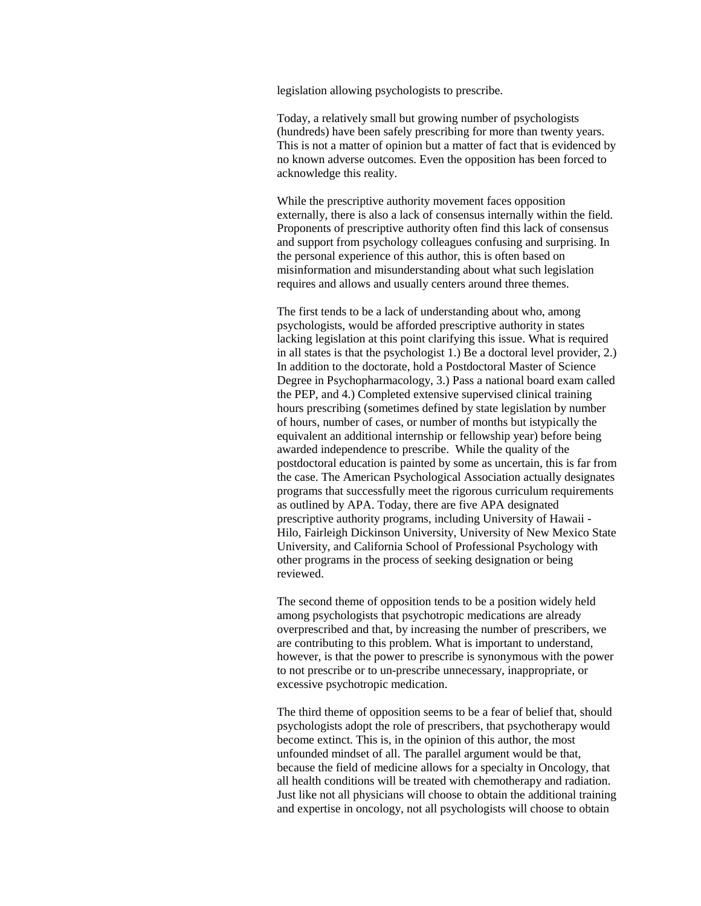legislation allowing psychologists to prescribe.

Today, a relatively small but growing number of psychologists (hundreds) have been safely prescribing for more than twenty years. This is not a matter of opinion but a matter of fact that is evidenced by no known adverse outcomes. Even the opposition has been forced to acknowledge this reality.

While the prescriptive authority movement faces opposition externally, there is also a lack of consensus internally within the field. Proponents of prescriptive authority often find this lack of consensus and support from psychology colleagues confusing and surprising. In the personal experience of this author, this is often based on misinformation and misunderstanding about what such legislation requires and allows and usually centers around three themes.

The first tends to be a lack of understanding about who, among psychologists, would be afforded prescriptive authority in states lacking legislation at this point clarifying this issue. What is required in all states is that the psychologist 1.) Be a doctoral level provider, 2.) In addition to the doctorate, hold a Postdoctoral Master of Science Degree in Psychopharmacology, 3.) Pass a national board exam called the PEP, and 4.) Completed extensive supervised clinical training hours prescribing (sometimes defined by state legislation by number of hours, number of cases, or number of months but istypically the equivalent an additional internship or fellowship year) before being awarded independence to prescribe. While the quality of the postdoctoral education is painted by some as uncertain, this is far from the case. The American Psychological Association actually designates programs that successfully meet the rigorous curriculum requirements as outlined by APA. Today, there are five APA designated prescriptive authority programs, including University of Hawaii - Hilo, Fairleigh Dickinson University, University of New Mexico State University, and California School of Professional Psychology with other programs in the process of seeking designation or being reviewed.

The second theme of opposition tends to be a position widely held among psychologists that psychotropic medications are already overprescribed and that, by increasing the number of prescribers, we are contributing to this problem. What is important to understand, however, is that the power to prescribe is synonymous with the power to not prescribe or to un-prescribe unnecessary, inappropriate, or excessive psychotropic medication.

The third theme of opposition seems to be a fear of belief that, should psychologists adopt the role of prescribers, that psychotherapy would become extinct. This is, in the opinion of this author, the most unfounded mindset of all. The parallel argument would be that, because the field of medicine allows for a specialty in Oncology, that all health conditions will be treated with chemotherapy and radiation. Just like not all physicians will choose to obtain the additional training and expertise in oncology, not all psychologists will choose to obtain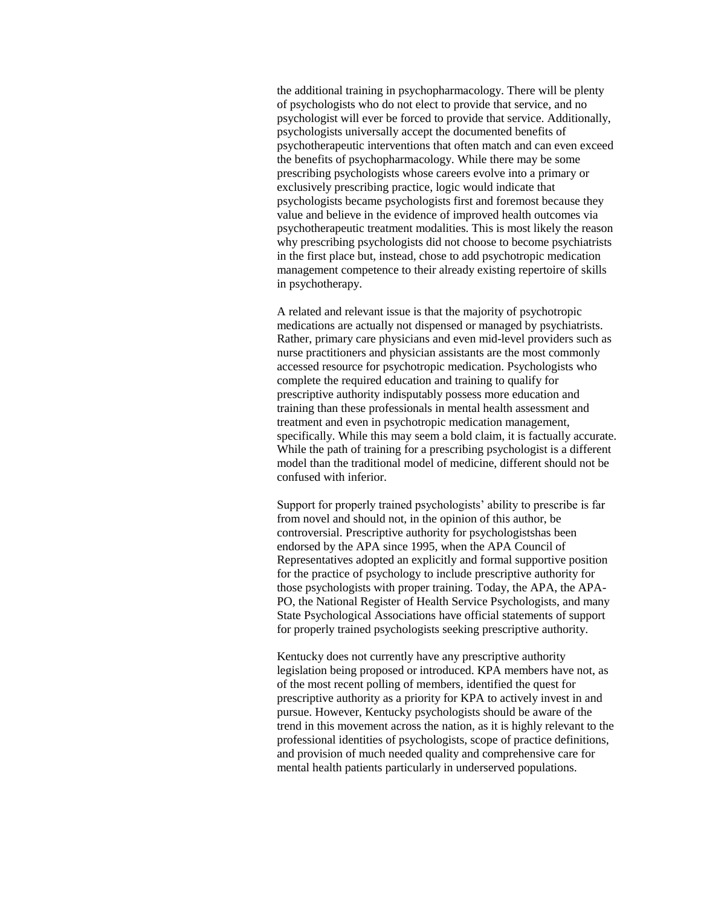the additional training in psychopharmacology. There will be plenty of psychologists who do not elect to provide that service, and no psychologist will ever be forced to provide that service. Additionally, psychologists universally accept the documented benefits of psychotherapeutic interventions that often match and can even exceed the benefits of psychopharmacology. While there may be some prescribing psychologists whose careers evolve into a primary or exclusively prescribing practice, logic would indicate that psychologists became psychologists first and foremost because they value and believe in the evidence of improved health outcomes via psychotherapeutic treatment modalities. This is most likely the reason why prescribing psychologists did not choose to become psychiatrists in the first place but, instead, chose to add psychotropic medication management competence to their already existing repertoire of skills in psychotherapy.

A related and relevant issue is that the majority of psychotropic medications are actually not dispensed or managed by psychiatrists. Rather, primary care physicians and even mid-level providers such as nurse practitioners and physician assistants are the most commonly accessed resource for psychotropic medication. Psychologists who complete the required education and training to qualify for prescriptive authority indisputably possess more education and training than these professionals in mental health assessment and treatment and even in psychotropic medication management, specifically. While this may seem a bold claim, it is factually accurate. While the path of training for a prescribing psychologist is a different model than the traditional model of medicine, different should not be confused with inferior.

Support for properly trained psychologists' ability to prescribe is far from novel and should not, in the opinion of this author, be controversial. Prescriptive authority for psychologistshas been endorsed by the APA since 1995, when the APA Council of Representatives adopted an explicitly and formal supportive position for the practice of psychology to include prescriptive authority for those psychologists with proper training. Today, the APA, the APA-PO, the National Register of Health Service Psychologists, and many State Psychological Associations have official statements of support for properly trained psychologists seeking prescriptive authority.

Kentucky does not currently have any prescriptive authority legislation being proposed or introduced. KPA members have not, as of the most recent polling of members, identified the quest for prescriptive authority as a priority for KPA to actively invest in and pursue. However, Kentucky psychologists should be aware of the trend in this movement across the nation, as it is highly relevant to the professional identities of psychologists, scope of practice definitions, and provision of much needed quality and comprehensive care for mental health patients particularly in underserved populations.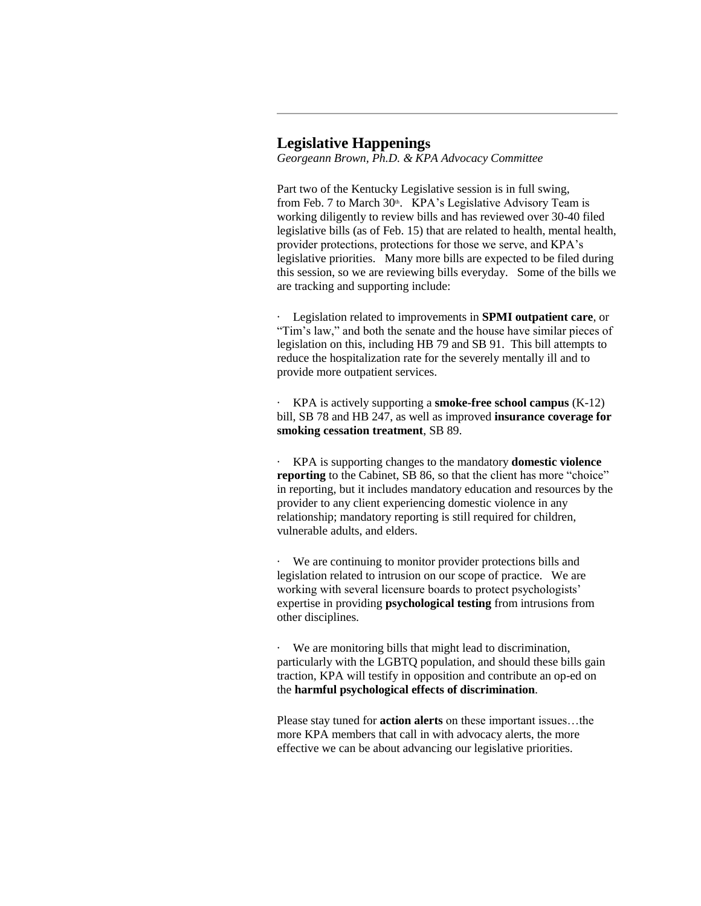### **Legislative Happenings**

*Georgeann Brown, Ph.D. & KPA Advocacy Committee*

Part two of the Kentucky Legislative session is in full swing, from Feb. 7 to March 30<sup>th</sup>. KPA's Legislative Advisory Team is working diligently to review bills and has reviewed over 30-40 filed legislative bills (as of Feb. 15) that are related to health, mental health, provider protections, protections for those we serve, and KPA's legislative priorities. Many more bills are expected to be filed during this session, so we are reviewing bills everyday. Some of the bills we are tracking and supporting include:

Legislation related to improvements in **SPMI** outpatient care, or "Tim's law," and both the senate and the house have similar pieces of legislation on this, including HB 79 and SB 91. This bill attempts to reduce the hospitalization rate for the severely mentally ill and to provide more outpatient services.

· KPA is actively supporting a **smoke-free school campus** (K-12) bill, SB 78 and HB 247, as well as improved **insurance coverage for smoking cessation treatment**, SB 89.

· KPA is supporting changes to the mandatory **domestic violence reporting** to the Cabinet, SB 86, so that the client has more "choice" in reporting, but it includes mandatory education and resources by the provider to any client experiencing domestic violence in any relationship; mandatory reporting is still required for children, vulnerable adults, and elders.

We are continuing to monitor provider protections bills and legislation related to intrusion on our scope of practice. We are working with several licensure boards to protect psychologists' expertise in providing **psychological testing** from intrusions from other disciplines.

We are monitoring bills that might lead to discrimination, particularly with the LGBTQ population, and should these bills gain traction, KPA will testify in opposition and contribute an op-ed on the **harmful psychological effects of discrimination**.

Please stay tuned for **action alerts** on these important issues…the more KPA members that call in with advocacy alerts, the more effective we can be about advancing our legislative priorities.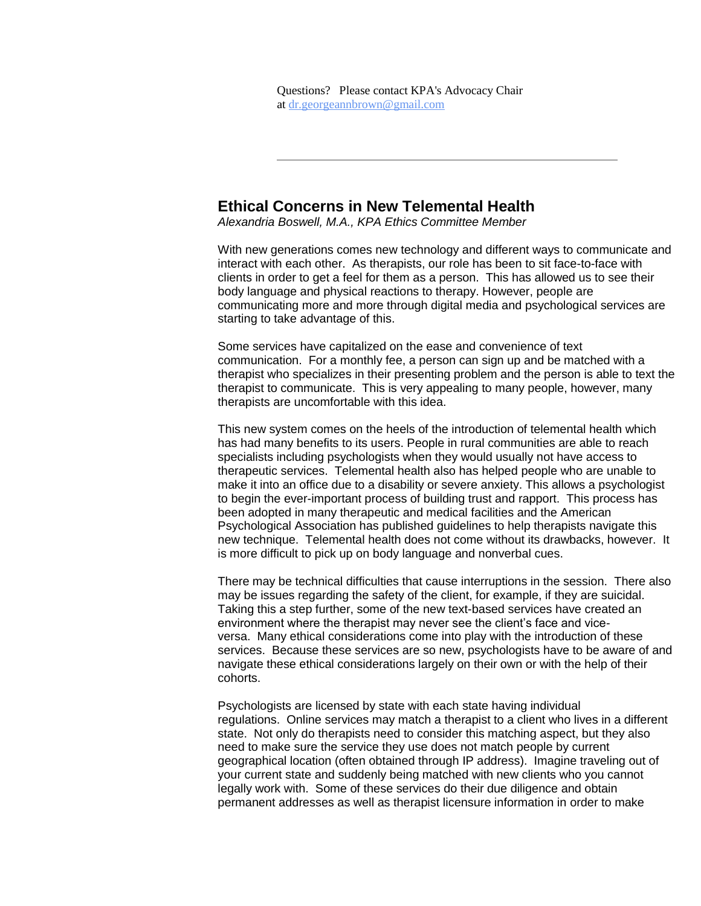## **Ethical Concerns in New Telemental Health**

*Alexandria Boswell, M.A., KPA Ethics Committee Member*

With new generations comes new technology and different ways to communicate and interact with each other. As therapists, our role has been to sit face-to-face with clients in order to get a feel for them as a person. This has allowed us to see their body language and physical reactions to therapy. However, people are communicating more and more through digital media and psychological services are starting to take advantage of this.

Some services have capitalized on the ease and convenience of text communication. For a monthly fee, a person can sign up and be matched with a therapist who specializes in their presenting problem and the person is able to text the therapist to communicate. This is very appealing to many people, however, many therapists are uncomfortable with this idea.

This new system comes on the heels of the introduction of telemental health which has had many benefits to its users. People in rural communities are able to reach specialists including psychologists when they would usually not have access to therapeutic services. Telemental health also has helped people who are unable to make it into an office due to a disability or severe anxiety. This allows a psychologist to begin the ever-important process of building trust and rapport. This process has been adopted in many therapeutic and medical facilities and the American Psychological Association has published guidelines to help therapists navigate this new technique. Telemental health does not come without its drawbacks, however. It is more difficult to pick up on body language and nonverbal cues.

There may be technical difficulties that cause interruptions in the session. There also may be issues regarding the safety of the client, for example, if they are suicidal. Taking this a step further, some of the new text-based services have created an environment where the therapist may never see the client's face and viceversa. Many ethical considerations come into play with the introduction of these services. Because these services are so new, psychologists have to be aware of and navigate these ethical considerations largely on their own or with the help of their cohorts.

Psychologists are licensed by state with each state having individual regulations. Online services may match a therapist to a client who lives in a different state. Not only do therapists need to consider this matching aspect, but they also need to make sure the service they use does not match people by current geographical location (often obtained through IP address). Imagine traveling out of your current state and suddenly being matched with new clients who you cannot legally work with. Some of these services do their due diligence and obtain permanent addresses as well as therapist licensure information in order to make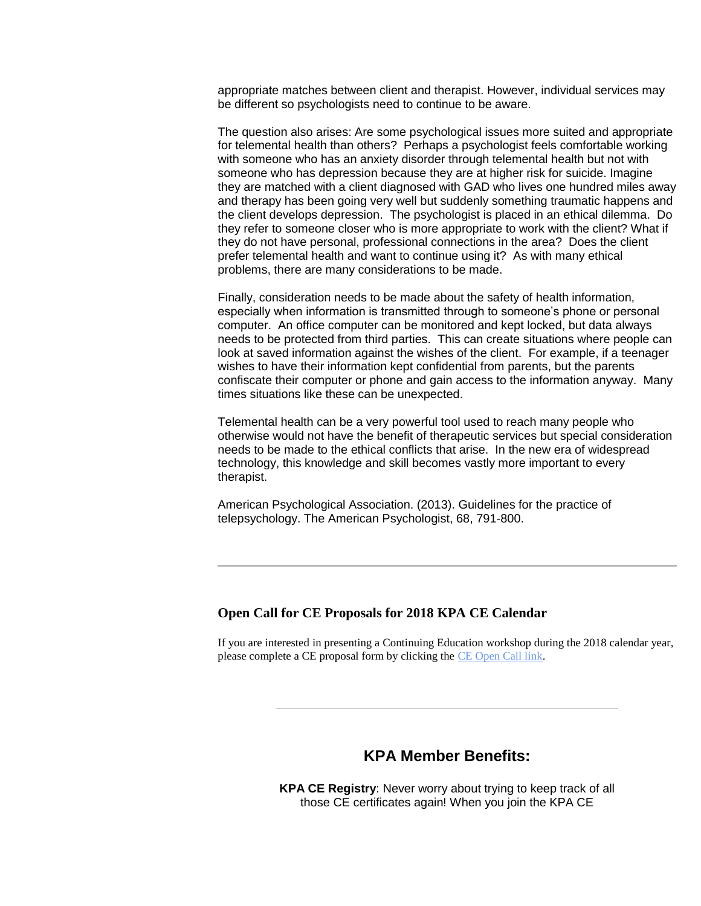appropriate matches between client and therapist. However, individual services may be different so psychologists need to continue to be aware.

The question also arises: Are some psychological issues more suited and appropriate for telemental health than others? Perhaps a psychologist feels comfortable working with someone who has an anxiety disorder through telemental health but not with someone who has depression because they are at higher risk for suicide. Imagine they are matched with a client diagnosed with GAD who lives one hundred miles away and therapy has been going very well but suddenly something traumatic happens and the client develops depression. The psychologist is placed in an ethical dilemma. Do they refer to someone closer who is more appropriate to work with the client? What if they do not have personal, professional connections in the area? Does the client prefer telemental health and want to continue using it? As with many ethical problems, there are many considerations to be made.

Finally, consideration needs to be made about the safety of health information, especially when information is transmitted through to someone's phone or personal computer. An office computer can be monitored and kept locked, but data always needs to be protected from third parties. This can create situations where people can look at saved information against the wishes of the client. For example, if a teenager wishes to have their information kept confidential from parents, but the parents confiscate their computer or phone and gain access to the information anyway. Many times situations like these can be unexpected.

Telemental health can be a very powerful tool used to reach many people who otherwise would not have the benefit of therapeutic services but special consideration needs to be made to the ethical conflicts that arise. In the new era of widespread technology, this knowledge and skill becomes vastly more important to every therapist.

American Psychological Association. (2013). Guidelines for the practice of telepsychology. The American Psychologist, 68, 791-800.

### **Open Call for CE Proposals for 2018 KPA CE Calendar**

If you are interested in presenting a Continuing Education workshop during the 2018 calendar year, please complete a CE proposal form by clicking the [CE Open Call link.](http://www.kpa.org/link.asp?e=joy@kpa.org&job=2831040&ymlink=96400093&finalurl=http%3A%2F%2Fwww%2Ekpa%2Eorg%2F%3Fpage%3DCEOpenCall)

### **KPA Member Benefits:**

**KPA CE Registry**: Never worry about trying to keep track of all those CE certificates again! When you join the KPA CE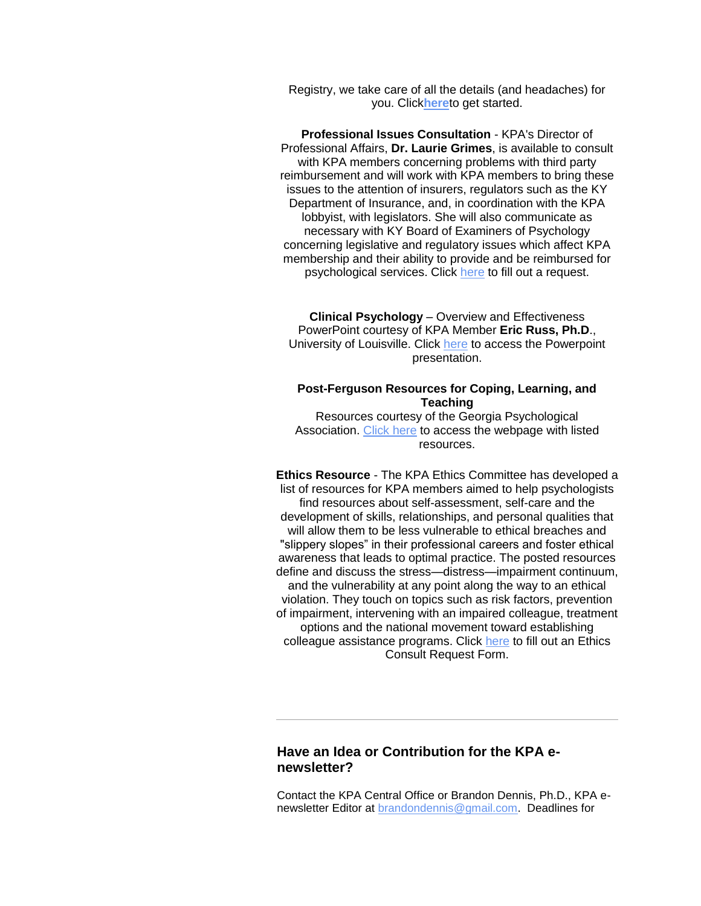Registry, we take care of all the details (and headaches) for you. Click**[here](http://www.kpa.org/link.asp?e=joy@kpa.org&job=2831040&ymlink=96400093&finalurl=http%3A%2F%2Fwww%2Ekpa%2Eorg%2Fstore%2Fview%5Fproduct%2Easp%3Fid%3D2949669)**to get started.

**Professional Issues Consultation** - KPA's Director of Professional Affairs, **Dr. Laurie Grimes**, is available to consult with KPA members concerning problems with third party reimbursement and will work with KPA members to bring these issues to the attention of insurers, regulators such as the KY Department of Insurance, and, in coordination with the KPA lobbyist, with legislators. She will also communicate as necessary with KY Board of Examiners of Psychology concerning legislative and regulatory issues which affect KPA membership and their ability to provide and be reimbursed for psychological services. Click [here](http://www.kpa.org/link.asp?e=joy@kpa.org&job=2831040&ymlink=96400093&finalurl=http%3A%2F%2Fwww%2Ekpa%2Eorg%2F%3Fpage%3DDPAConsult) to fill out a request.

**Clinical Psychology** – Overview and Effectiveness PowerPoint courtesy of KPA Member **Eric Russ, Ph.D**., University of Louisville. Click [here](http://www.kpa.org/link.asp?e=joy@kpa.org&job=2831040&ymlink=96400093&finalurl=http%3A%2F%2Fwww%2Ekpa%2Eorg%2Fgeneral%2Fcustom%2Easp%3Fpage%3D680) to access the Powerpoint presentation.

### **Post-Ferguson Resources for Coping, Learning, and Teaching**

Resources courtesy of the Georgia Psychological Association. [Click](http://www.kpa.org/link.asp?e=joy@kpa.org&job=2831040&ymlink=96400093&finalurl=https%3A%2F%2Fgapsychology%2Esite%2Dym%2Ecom%2F%3Fpostferguson) [here](http://www.kpa.org/link.asp?e=joy@kpa.org&job=2831040&ymlink=96400093&finalurl=https%3A%2F%2Fgapsychology%2Esite%2Dym%2Ecom%2F%3Fpostferguson) to access the webpage with listed resources.

**Ethics Resource** - The KPA Ethics Committee has developed a list of resources for KPA members aimed to help psychologists find resources about self-assessment, self-care and the development of skills, relationships, and personal qualities that will allow them to be less vulnerable to ethical breaches and "slippery slopes" in their professional careers and foster ethical awareness that leads to optimal practice. The posted resources define and discuss the stress—distress—impairment continuum, and the vulnerability at any point along the way to an ethical violation. They touch on topics such as risk factors, prevention of impairment, intervening with an impaired colleague, treatment options and the national movement toward establishing colleague assistance programs. Click [here](http://www.kpa.org/link.asp?e=joy@kpa.org&job=2831040&ymlink=96400093&finalurl=http%3A%2F%2Fwww%2Ekpa%2Eorg%2F%3Fpage%3DEthicsConsult) to fill out an Ethics Consult Request Form.

### **Have an Idea or Contribution for the KPA enewsletter?**

Contact the KPA Central Office or Brandon Dennis, Ph.D., KPA enewsletter Editor at [brandondennis@gmail.com.](mailto:brandondennis@gmail.com) Deadlines for